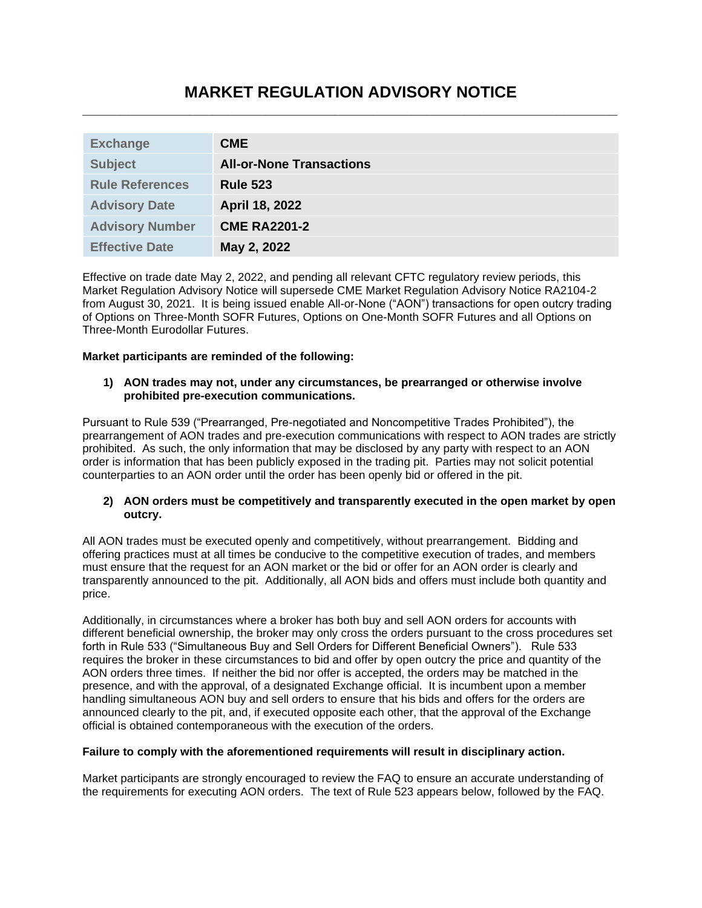# **MARKET REGULATION ADVISORY NOTICE \_\_\_\_\_\_\_\_\_\_\_\_\_\_\_\_\_\_\_\_\_\_\_\_\_\_\_\_\_\_\_\_\_\_\_\_\_\_\_\_\_\_\_\_\_\_\_\_\_\_\_\_\_\_\_\_\_\_\_\_\_\_\_\_\_\_\_\_\_\_**

| <b>Exchange</b>        | <b>CME</b>                      |
|------------------------|---------------------------------|
| <b>Subject</b>         | <b>All-or-None Transactions</b> |
| <b>Rule References</b> | <b>Rule 523</b>                 |
| <b>Advisory Date</b>   | April 18, 2022                  |
| <b>Advisory Number</b> | <b>CME RA2201-2</b>             |
| <b>Effective Date</b>  | May 2, 2022                     |

Effective on trade date May 2, 2022, and pending all relevant CFTC regulatory review periods, this Market Regulation Advisory Notice will supersede CME Market Regulation Advisory Notice RA2104-2 from August 30, 2021. It is being issued enable All-or-None ("AON") transactions for open outcry trading of Options on Three-Month SOFR Futures, Options on One-Month SOFR Futures and all Options on Three-Month Eurodollar Futures.

### **Market participants are reminded of the following:**

#### **1) AON trades may not, under any circumstances, be prearranged or otherwise involve prohibited pre-execution communications.**

Pursuant to Rule 539 ("Prearranged, Pre-negotiated and Noncompetitive Trades Prohibited"), the prearrangement of AON trades and pre-execution communications with respect to AON trades are strictly prohibited. As such, the only information that may be disclosed by any party with respect to an AON order is information that has been publicly exposed in the trading pit. Parties may not solicit potential counterparties to an AON order until the order has been openly bid or offered in the pit.

#### **2) AON orders must be competitively and transparently executed in the open market by open outcry.**

All AON trades must be executed openly and competitively, without prearrangement. Bidding and offering practices must at all times be conducive to the competitive execution of trades, and members must ensure that the request for an AON market or the bid or offer for an AON order is clearly and transparently announced to the pit. Additionally, all AON bids and offers must include both quantity and price.

Additionally, in circumstances where a broker has both buy and sell AON orders for accounts with different beneficial ownership, the broker may only cross the orders pursuant to the cross procedures set forth in Rule 533 ("Simultaneous Buy and Sell Orders for Different Beneficial Owners"). Rule 533 requires the broker in these circumstances to bid and offer by open outcry the price and quantity of the AON orders three times. If neither the bid nor offer is accepted, the orders may be matched in the presence, and with the approval, of a designated Exchange official. It is incumbent upon a member handling simultaneous AON buy and sell orders to ensure that his bids and offers for the orders are announced clearly to the pit, and, if executed opposite each other, that the approval of the Exchange official is obtained contemporaneous with the execution of the orders.

#### **Failure to comply with the aforementioned requirements will result in disciplinary action.**

Market participants are strongly encouraged to review the FAQ to ensure an accurate understanding of the requirements for executing AON orders. The text of Rule 523 appears below, followed by the FAQ.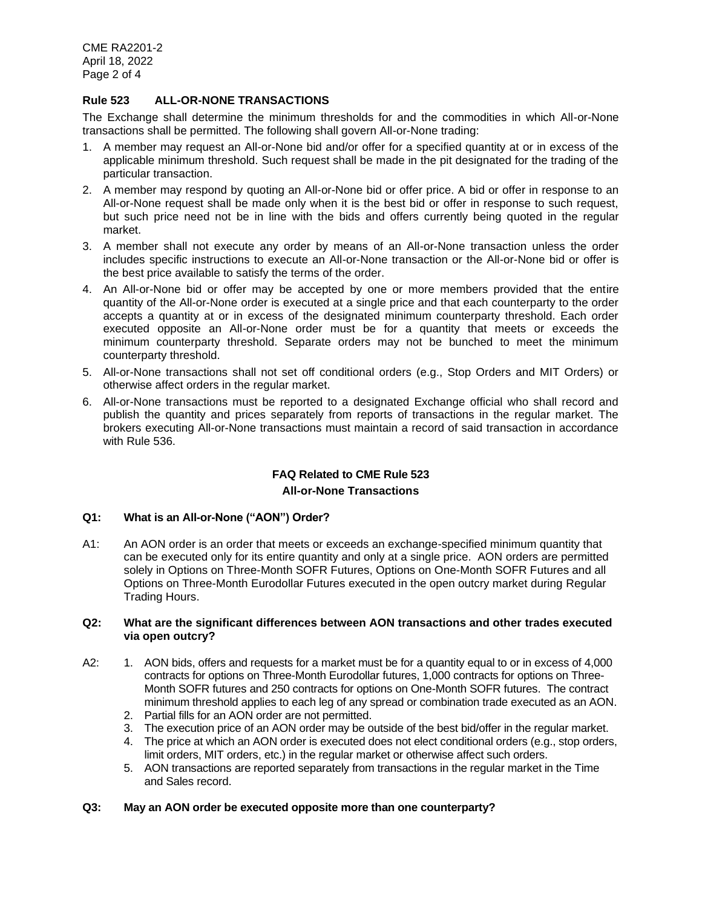CME RA2201-2 April 18, 2022 Page 2 of 4

# **Rule 523 ALL-OR-NONE TRANSACTIONS**

The Exchange shall determine the minimum thresholds for and the commodities in which All-or-None transactions shall be permitted. The following shall govern All-or-None trading:

- 1. A member may request an All-or-None bid and/or offer for a specified quantity at or in excess of the applicable minimum threshold. Such request shall be made in the pit designated for the trading of the particular transaction.
- 2. A member may respond by quoting an All-or-None bid or offer price. A bid or offer in response to an All-or-None request shall be made only when it is the best bid or offer in response to such request, but such price need not be in line with the bids and offers currently being quoted in the regular market.
- 3. A member shall not execute any order by means of an All-or-None transaction unless the order includes specific instructions to execute an All-or-None transaction or the All-or-None bid or offer is the best price available to satisfy the terms of the order.
- 4. An All-or-None bid or offer may be accepted by one or more members provided that the entire quantity of the All-or-None order is executed at a single price and that each counterparty to the order accepts a quantity at or in excess of the designated minimum counterparty threshold. Each order executed opposite an All-or-None order must be for a quantity that meets or exceeds the minimum counterparty threshold. Separate orders may not be bunched to meet the minimum counterparty threshold.
- 5. All-or-None transactions shall not set off conditional orders (e.g., Stop Orders and MIT Orders) or otherwise affect orders in the regular market.
- 6. All-or-None transactions must be reported to a designated Exchange official who shall record and publish the quantity and prices separately from reports of transactions in the regular market. The brokers executing All-or-None transactions must maintain a record of said transaction in accordance with Rule 536.

# **FAQ Related to CME Rule 523 All-or-None Transactions**

#### **Q1: What is an All-or-None ("AON") Order?**

A1: An AON order is an order that meets or exceeds an exchange-specified minimum quantity that can be executed only for its entire quantity and only at a single price. AON orders are permitted solely in Options on Three-Month SOFR Futures, Options on One-Month SOFR Futures and all Options on Three-Month Eurodollar Futures executed in the open outcry market during Regular Trading Hours.

#### **Q2: What are the significant differences between AON transactions and other trades executed via open outcry?**

- A2: 1. AON bids, offers and requests for a market must be for a quantity equal to or in excess of 4,000 contracts for options on Three-Month Eurodollar futures, 1,000 contracts for options on Three-Month SOFR futures and 250 contracts for options on One-Month SOFR futures. The contract minimum threshold applies to each leg of any spread or combination trade executed as an AON.
	- 2. Partial fills for an AON order are not permitted.
	- 3. The execution price of an AON order may be outside of the best bid/offer in the regular market.
	- 4. The price at which an AON order is executed does not elect conditional orders (e.g., stop orders, limit orders, MIT orders, etc.) in the regular market or otherwise affect such orders.
	- 5. AON transactions are reported separately from transactions in the regular market in the Time and Sales record.

## **Q3: May an AON order be executed opposite more than one counterparty?**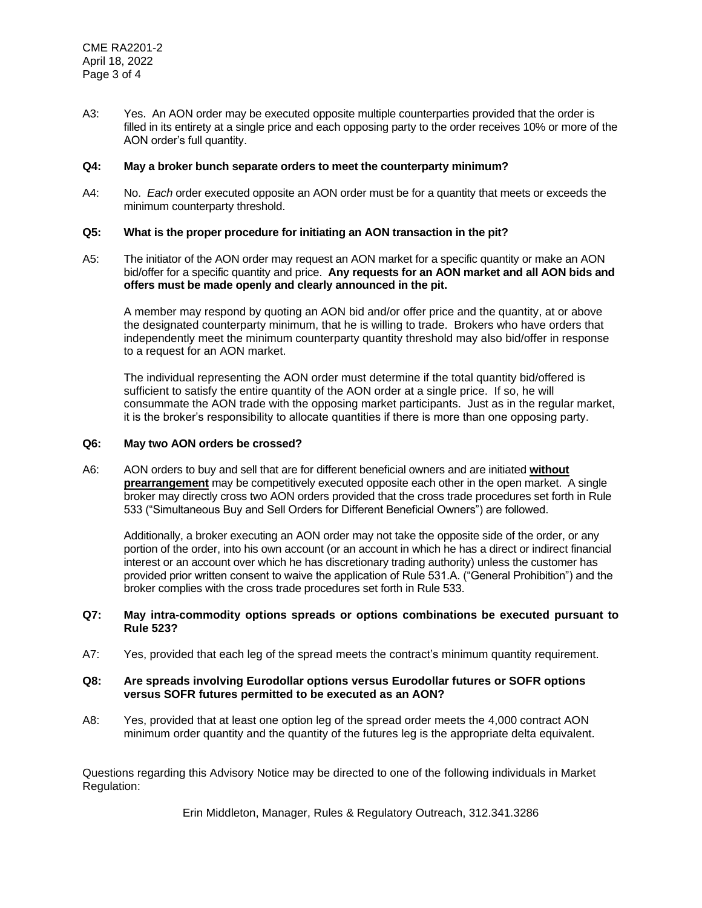A3: Yes. An AON order may be executed opposite multiple counterparties provided that the order is filled in its entirety at a single price and each opposing party to the order receives 10% or more of the AON order's full quantity.

#### **Q4: May a broker bunch separate orders to meet the counterparty minimum?**

A4: No. *Each* order executed opposite an AON order must be for a quantity that meets or exceeds the minimum counterparty threshold.

### **Q5: What is the proper procedure for initiating an AON transaction in the pit?**

A5: The initiator of the AON order may request an AON market for a specific quantity or make an AON bid/offer for a specific quantity and price. **Any requests for an AON market and all AON bids and offers must be made openly and clearly announced in the pit.**

A member may respond by quoting an AON bid and/or offer price and the quantity, at or above the designated counterparty minimum, that he is willing to trade. Brokers who have orders that independently meet the minimum counterparty quantity threshold may also bid/offer in response to a request for an AON market.

The individual representing the AON order must determine if the total quantity bid/offered is sufficient to satisfy the entire quantity of the AON order at a single price. If so, he will consummate the AON trade with the opposing market participants. Just as in the regular market, it is the broker's responsibility to allocate quantities if there is more than one opposing party.

#### **Q6: May two AON orders be crossed?**

A6: AON orders to buy and sell that are for different beneficial owners and are initiated **without prearrangement** may be competitively executed opposite each other in the open market. A single broker may directly cross two AON orders provided that the cross trade procedures set forth in Rule 533 ("Simultaneous Buy and Sell Orders for Different Beneficial Owners") are followed.

Additionally, a broker executing an AON order may not take the opposite side of the order, or any portion of the order, into his own account (or an account in which he has a direct or indirect financial interest or an account over which he has discretionary trading authority) unless the customer has provided prior written consent to waive the application of Rule 531.A. ("General Prohibition") and the broker complies with the cross trade procedures set forth in Rule 533.

#### **Q7: May intra-commodity options spreads or options combinations be executed pursuant to Rule 523?**

A7: Yes, provided that each leg of the spread meets the contract's minimum quantity requirement.

#### **Q8: Are spreads involving Eurodollar options versus Eurodollar futures or SOFR options versus SOFR futures permitted to be executed as an AON?**

A8: Yes, provided that at least one option leg of the spread order meets the 4,000 contract AON minimum order quantity and the quantity of the futures leg is the appropriate delta equivalent.

Questions regarding this Advisory Notice may be directed to one of the following individuals in Market Regulation:

Erin Middleton, Manager, Rules & Regulatory Outreach, 312.341.3286